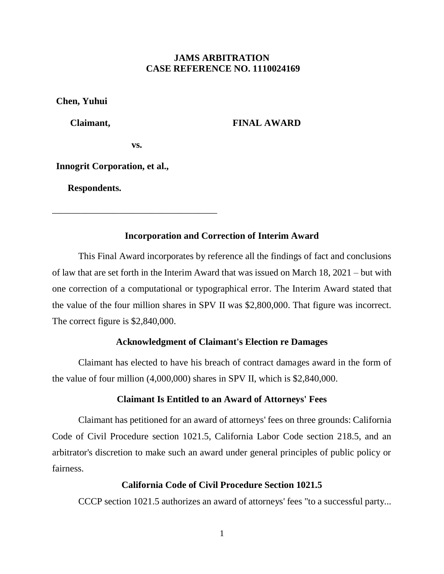# **JAMS ARBITRATION CASE REFERENCE NO. 1110024169**

**Chen, Yuhui**

 **Claimant,**

 **FINAL AWARD**

**vs.**

\_\_\_\_\_\_\_\_\_\_\_\_\_\_\_\_\_\_\_\_\_\_\_\_\_\_\_\_\_\_\_\_\_\_\_

**Innogrit Corporation, et al.,**

 **Respondents.**

# **Incorporation and Correction of Interim Award**

This Final Award incorporates by reference all the findings of fact and conclusions of law that are set forth in the Interim Award that was issued on March 18, 2021 – but with one correction of a computational or typographical error. The Interim Award stated that the value of the four million shares in SPV II was \$2,800,000. That figure was incorrect. The correct figure is \$2,840,000.

### **Acknowledgment of Claimant's Election re Damages**

Claimant has elected to have his breach of contract damages award in the form of the value of four million (4,000,000) shares in SPV II, which is \$2,840,000.

### **Claimant Is Entitled to an Award of Attorneys' Fees**

Claimant has petitioned for an award of attorneys' fees on three grounds: California Code of Civil Procedure section 1021.5, California Labor Code section 218.5, and an arbitrator's discretion to make such an award under general principles of public policy or fairness.

#### **California Code of Civil Procedure Section 1021.5**

CCCP section 1021.5 authorizes an award of attorneys' fees "to a successful party...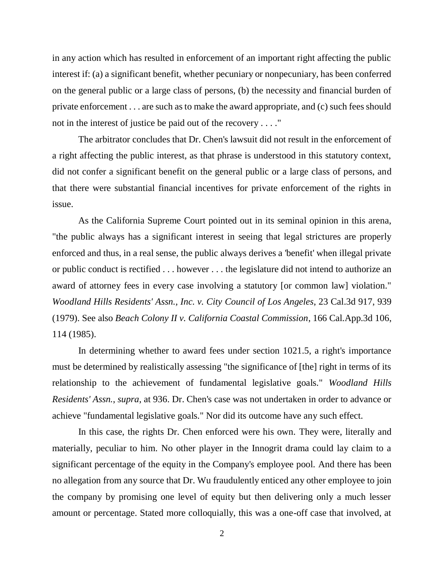in any action which has resulted in enforcement of an important right affecting the public interest if: (a) a significant benefit, whether pecuniary or nonpecuniary, has been conferred on the general public or a large class of persons, (b) the necessity and financial burden of private enforcement . . . are such as to make the award appropriate, and (c) such fees should not in the interest of justice be paid out of the recovery . . . ."

The arbitrator concludes that Dr. Chen's lawsuit did not result in the enforcement of a right affecting the public interest, as that phrase is understood in this statutory context, did not confer a significant benefit on the general public or a large class of persons, and that there were substantial financial incentives for private enforcement of the rights in issue.

As the California Supreme Court pointed out in its seminal opinion in this arena, "the public always has a significant interest in seeing that legal strictures are properly enforced and thus, in a real sense, the public always derives a 'benefit' when illegal private or public conduct is rectified . . . however . . . the legislature did not intend to authorize an award of attorney fees in every case involving a statutory [or common law] violation." *Woodland Hills Residents' Assn., Inc. v. City Council of Los Angeles*, 23 Cal.3d 917, 939 (1979). See also *Beach Colony II v. California Coastal Commission*, 166 Cal.App.3d 106, 114 (1985).

In determining whether to award fees under section 1021.5, a right's importance must be determined by realistically assessing "the significance of [the] right in terms of its relationship to the achievement of fundamental legislative goals." *Woodland Hills Residents' Assn.*, *supra*, at 936. Dr. Chen's case was not undertaken in order to advance or achieve "fundamental legislative goals." Nor did its outcome have any such effect.

In this case, the rights Dr. Chen enforced were his own. They were, literally and materially, peculiar to him. No other player in the Innogrit drama could lay claim to a significant percentage of the equity in the Company's employee pool. And there has been no allegation from any source that Dr. Wu fraudulently enticed any other employee to join the company by promising one level of equity but then delivering only a much lesser amount or percentage. Stated more colloquially, this was a one-off case that involved, at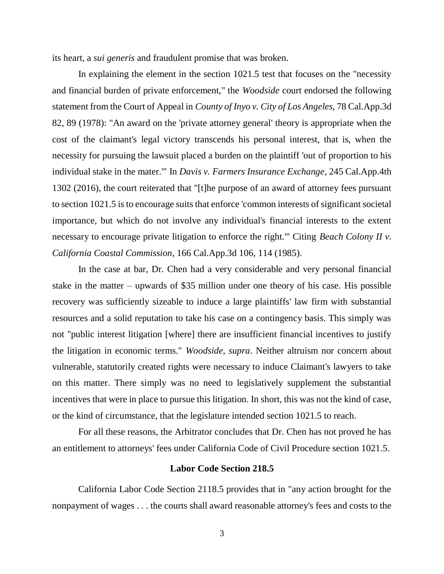its heart, a *sui generis* and fraudulent promise that was broken.

In explaining the element in the section 1021.5 test that focuses on the "necessity and financial burden of private enforcement," the *Woodside* court endorsed the following statement from the Court of Appeal in *County of Inyo v. City of Los Angeles*, 78 Cal.App.3d 82, 89 (1978): "An award on the 'private attorney general' theory is appropriate when the cost of the claimant's legal victory transcends his personal interest, that is, when the necessity for pursuing the lawsuit placed a burden on the plaintiff 'out of proportion to his individual stake in the mater.'" In *Davis v. Farmers Insurance Exchange*, 245 Cal.App.4th 1302 (2016), the court reiterated that "[t]he purpose of an award of attorney fees pursuant to section 1021.5 is to encourage suits that enforce 'common interests of significant societal importance, but which do not involve any individual's financial interests to the extent necessary to encourage private litigation to enforce the right.'" Citing *Beach Colony II v. California Coastal Commission*, 166 Cal.App.3d 106, 114 (1985).

In the case at bar, Dr. Chen had a very considerable and very personal financial stake in the matter – upwards of \$35 million under one theory of his case. His possible recovery was sufficiently sizeable to induce a large plaintiffs' law firm with substantial resources and a solid reputation to take his case on a contingency basis. This simply was not "public interest litigation [where] there are insufficient financial incentives to justify the litigation in economic terms." *Woodside, supra*. Neither altruism nor concern about vulnerable, statutorily created rights were necessary to induce Claimant's lawyers to take on this matter. There simply was no need to legislatively supplement the substantial incentives that were in place to pursue this litigation. In short, this was not the kind of case, or the kind of circumstance, that the legislature intended section 1021.5 to reach.

For all these reasons, the Arbitrator concludes that Dr. Chen has not proved he has an entitlement to attorneys' fees under California Code of Civil Procedure section 1021.5.

#### **Labor Code Section 218.5**

California Labor Code Section 2118.5 provides that in "any action brought for the nonpayment of wages . . . the courts shall award reasonable attorney's fees and costs to the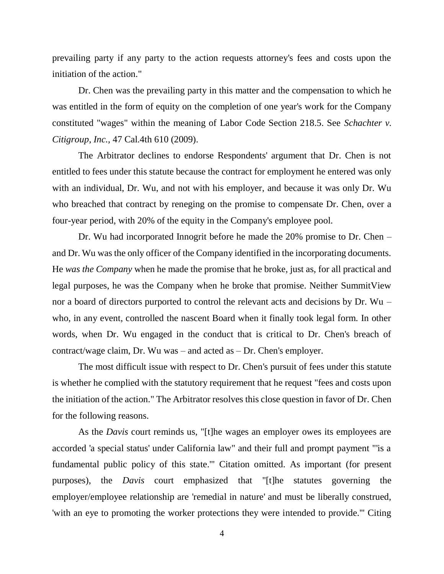prevailing party if any party to the action requests attorney's fees and costs upon the initiation of the action."

Dr. Chen was the prevailing party in this matter and the compensation to which he was entitled in the form of equity on the completion of one year's work for the Company constituted "wages" within the meaning of Labor Code Section 218.5. See *Schachter v. Citigroup, Inc.,* 47 Cal.4th 610 (2009).

The Arbitrator declines to endorse Respondents' argument that Dr. Chen is not entitled to fees under this statute because the contract for employment he entered was only with an individual, Dr. Wu, and not with his employer, and because it was only Dr. Wu who breached that contract by reneging on the promise to compensate Dr. Chen, over a four-year period, with 20% of the equity in the Company's employee pool.

Dr. Wu had incorporated Innogrit before he made the 20% promise to Dr. Chen – and Dr. Wu was the only officer of the Company identified in the incorporating documents. He *was the Company* when he made the promise that he broke, just as, for all practical and legal purposes, he was the Company when he broke that promise. Neither SummitView nor a board of directors purported to control the relevant acts and decisions by Dr. Wu – who, in any event, controlled the nascent Board when it finally took legal form. In other words, when Dr. Wu engaged in the conduct that is critical to Dr. Chen's breach of contract/wage claim, Dr. Wu was – and acted as – Dr. Chen's employer.

The most difficult issue with respect to Dr. Chen's pursuit of fees under this statute is whether he complied with the statutory requirement that he request "fees and costs upon the initiation of the action." The Arbitrator resolves this close question in favor of Dr. Chen for the following reasons.

As the *Davis* court reminds us, "[t]he wages an employer owes its employees are accorded 'a special status' under California law" and their full and prompt payment "'is a fundamental public policy of this state.'" Citation omitted. As important (for present purposes), the *Davis* court emphasized that "[t]he statutes governing the employer/employee relationship are 'remedial in nature' and must be liberally construed, 'with an eye to promoting the worker protections they were intended to provide.'" Citing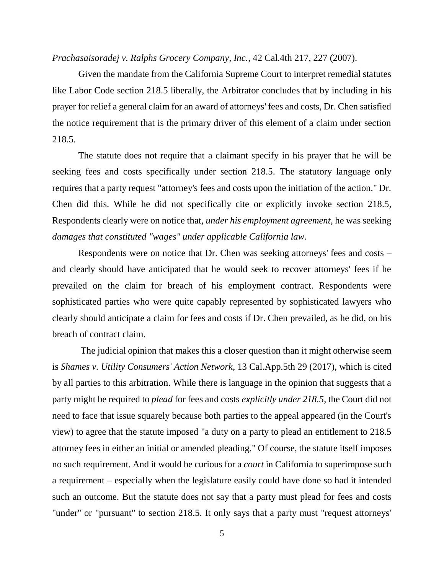*Prachasaisoradej v. Ralphs Grocery Company, Inc.*, 42 Cal.4th 217, 227 (2007).

Given the mandate from the California Supreme Court to interpret remedial statutes like Labor Code section 218.5 liberally, the Arbitrator concludes that by including in his prayer for relief a general claim for an award of attorneys' fees and costs, Dr. Chen satisfied the notice requirement that is the primary driver of this element of a claim under section 218.5.

The statute does not require that a claimant specify in his prayer that he will be seeking fees and costs specifically under section 218.5. The statutory language only requires that a party request "attorney's fees and costs upon the initiation of the action." Dr. Chen did this. While he did not specifically cite or explicitly invoke section 218.5, Respondents clearly were on notice that, *under his employment agreement*, he was seeking *damages that constituted "wages" under applicable California law*.

Respondents were on notice that Dr. Chen was seeking attorneys' fees and costs – and clearly should have anticipated that he would seek to recover attorneys' fees if he prevailed on the claim for breach of his employment contract. Respondents were sophisticated parties who were quite capably represented by sophisticated lawyers who clearly should anticipate a claim for fees and costs if Dr. Chen prevailed, as he did, on his breach of contract claim.

The judicial opinion that makes this a closer question than it might otherwise seem is *Shames v. Utility Consumers' Action Network*, 13 Cal.App.5th 29 (2017), which is cited by all parties to this arbitration. While there is language in the opinion that suggests that a party might be required to *plead* for fees and costs *explicitly under 218.5*, the Court did not need to face that issue squarely because both parties to the appeal appeared (in the Court's view) to agree that the statute imposed "a duty on a party to plead an entitlement to 218.5 attorney fees in either an initial or amended pleading." Of course, the statute itself imposes no such requirement. And it would be curious for a *court* in California to superimpose such a requirement – especially when the legislature easily could have done so had it intended such an outcome. But the statute does not say that a party must plead for fees and costs "under" or "pursuant" to section 218.5. It only says that a party must "request attorneys'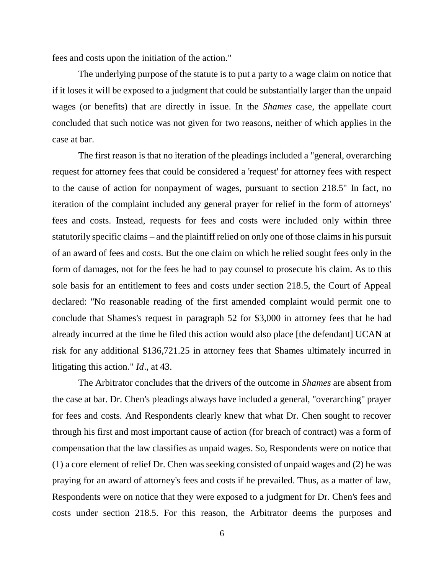fees and costs upon the initiation of the action."

The underlying purpose of the statute is to put a party to a wage claim on notice that if it loses it will be exposed to a judgment that could be substantially larger than the unpaid wages (or benefits) that are directly in issue. In the *Shames* case, the appellate court concluded that such notice was not given for two reasons, neither of which applies in the case at bar.

The first reason is that no iteration of the pleadings included a "general, overarching request for attorney fees that could be considered a 'request' for attorney fees with respect to the cause of action for nonpayment of wages, pursuant to section 218.5" In fact, no iteration of the complaint included any general prayer for relief in the form of attorneys' fees and costs. Instead, requests for fees and costs were included only within three statutorily specific claims – and the plaintiff relied on only one of those claims in his pursuit of an award of fees and costs. But the one claim on which he relied sought fees only in the form of damages, not for the fees he had to pay counsel to prosecute his claim. As to this sole basis for an entitlement to fees and costs under section 218.5, the Court of Appeal declared: "No reasonable reading of the first amended complaint would permit one to conclude that Shames's request in paragraph 52 for \$3,000 in attorney fees that he had already incurred at the time he filed this action would also place [the defendant] UCAN at risk for any additional \$136,721.25 in attorney fees that Shames ultimately incurred in litigating this action." *Id*., at 43.

The Arbitrator concludes that the drivers of the outcome in *Shames* are absent from the case at bar. Dr. Chen's pleadings always have included a general, "overarching" prayer for fees and costs. And Respondents clearly knew that what Dr. Chen sought to recover through his first and most important cause of action (for breach of contract) was a form of compensation that the law classifies as unpaid wages. So, Respondents were on notice that (1) a core element of relief Dr. Chen was seeking consisted of unpaid wages and (2) he was praying for an award of attorney's fees and costs if he prevailed. Thus, as a matter of law, Respondents were on notice that they were exposed to a judgment for Dr. Chen's fees and costs under section 218.5. For this reason, the Arbitrator deems the purposes and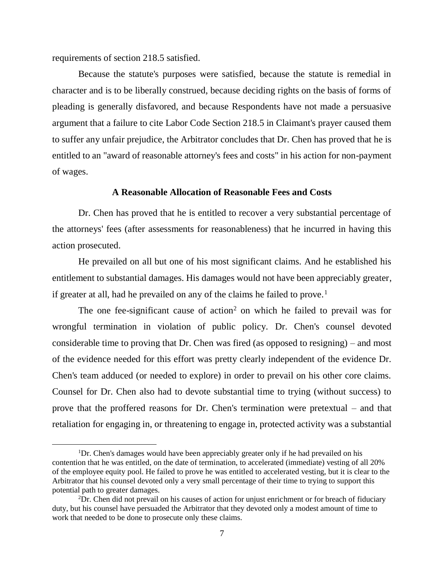requirements of section 218.5 satisfied.

 $\overline{a}$ 

Because the statute's purposes were satisfied, because the statute is remedial in character and is to be liberally construed, because deciding rights on the basis of forms of pleading is generally disfavored, and because Respondents have not made a persuasive argument that a failure to cite Labor Code Section 218.5 in Claimant's prayer caused them to suffer any unfair prejudice, the Arbitrator concludes that Dr. Chen has proved that he is entitled to an "award of reasonable attorney's fees and costs" in his action for non-payment of wages.

### **A Reasonable Allocation of Reasonable Fees and Costs**

Dr. Chen has proved that he is entitled to recover a very substantial percentage of the attorneys' fees (after assessments for reasonableness) that he incurred in having this action prosecuted.

He prevailed on all but one of his most significant claims. And he established his entitlement to substantial damages. His damages would not have been appreciably greater, if greater at all, had he prevailed on any of the claims he failed to prove.<sup>1</sup>

The one fee-significant cause of action<sup>2</sup> on which he failed to prevail was for wrongful termination in violation of public policy. Dr. Chen's counsel devoted considerable time to proving that Dr. Chen was fired (as opposed to resigning) – and most of the evidence needed for this effort was pretty clearly independent of the evidence Dr. Chen's team adduced (or needed to explore) in order to prevail on his other core claims. Counsel for Dr. Chen also had to devote substantial time to trying (without success) to prove that the proffered reasons for Dr. Chen's termination were pretextual – and that retaliation for engaging in, or threatening to engage in, protected activity was a substantial

<sup>&</sup>lt;sup>1</sup>Dr. Chen's damages would have been appreciably greater only if he had prevailed on his contention that he was entitled, on the date of termination, to accelerated (immediate) vesting of all 20% of the employee equity pool. He failed to prove he was entitled to accelerated vesting, but it is clear to the Arbitrator that his counsel devoted only a very small percentage of their time to trying to support this potential path to greater damages.

<sup>2</sup>Dr. Chen did not prevail on his causes of action for unjust enrichment or for breach of fiduciary duty, but his counsel have persuaded the Arbitrator that they devoted only a modest amount of time to work that needed to be done to prosecute only these claims.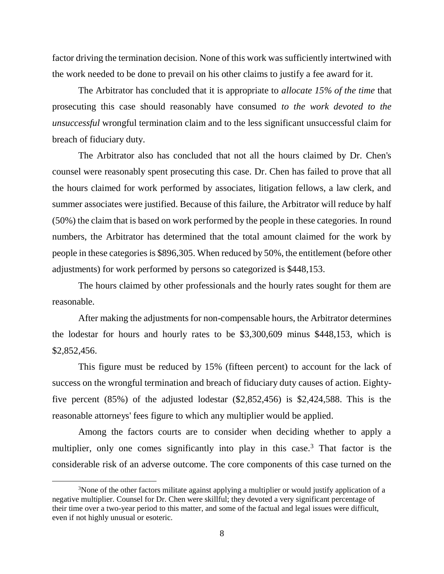factor driving the termination decision. None of this work was sufficiently intertwined with the work needed to be done to prevail on his other claims to justify a fee award for it.

The Arbitrator has concluded that it is appropriate to *allocate 15% of the time* that prosecuting this case should reasonably have consumed *to the work devoted to the unsuccessful* wrongful termination claim and to the less significant unsuccessful claim for breach of fiduciary duty.

The Arbitrator also has concluded that not all the hours claimed by Dr. Chen's counsel were reasonably spent prosecuting this case. Dr. Chen has failed to prove that all the hours claimed for work performed by associates, litigation fellows, a law clerk, and summer associates were justified. Because of this failure, the Arbitrator will reduce by half (50%) the claim that is based on work performed by the people in these categories. In round numbers, the Arbitrator has determined that the total amount claimed for the work by people in these categories is \$896,305. When reduced by 50%, the entitlement (before other adjustments) for work performed by persons so categorized is \$448,153.

The hours claimed by other professionals and the hourly rates sought for them are reasonable.

After making the adjustments for non-compensable hours, the Arbitrator determines the lodestar for hours and hourly rates to be \$3,300,609 minus \$448,153, which is \$2,852,456.

This figure must be reduced by 15% (fifteen percent) to account for the lack of success on the wrongful termination and breach of fiduciary duty causes of action. Eightyfive percent (85%) of the adjusted lodestar (\$2,852,456) is \$2,424,588. This is the reasonable attorneys' fees figure to which any multiplier would be applied.

Among the factors courts are to consider when deciding whether to apply a multiplier, only one comes significantly into play in this case.<sup>3</sup> That factor is the considerable risk of an adverse outcome. The core components of this case turned on the

 $\overline{a}$ 

<sup>&</sup>lt;sup>3</sup>None of the other factors militate against applying a multiplier or would justify application of a negative multiplier. Counsel for Dr. Chen were skillful; they devoted a very significant percentage of their time over a two-year period to this matter, and some of the factual and legal issues were difficult, even if not highly unusual or esoteric.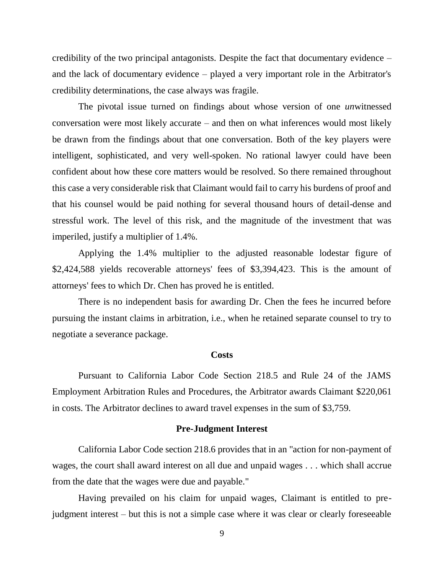credibility of the two principal antagonists. Despite the fact that documentary evidence – and the lack of documentary evidence – played a very important role in the Arbitrator's credibility determinations, the case always was fragile.

The pivotal issue turned on findings about whose version of one *un*witnessed conversation were most likely accurate – and then on what inferences would most likely be drawn from the findings about that one conversation. Both of the key players were intelligent, sophisticated, and very well-spoken. No rational lawyer could have been confident about how these core matters would be resolved. So there remained throughout this case a very considerable risk that Claimant would fail to carry his burdens of proof and that his counsel would be paid nothing for several thousand hours of detail-dense and stressful work. The level of this risk, and the magnitude of the investment that was imperiled, justify a multiplier of 1.4%.

Applying the 1.4% multiplier to the adjusted reasonable lodestar figure of \$2,424,588 yields recoverable attorneys' fees of \$3,394,423. This is the amount of attorneys' fees to which Dr. Chen has proved he is entitled.

There is no independent basis for awarding Dr. Chen the fees he incurred before pursuing the instant claims in arbitration, i.e., when he retained separate counsel to try to negotiate a severance package.

# **Costs**

Pursuant to California Labor Code Section 218.5 and Rule 24 of the JAMS Employment Arbitration Rules and Procedures, the Arbitrator awards Claimant \$220,061 in costs. The Arbitrator declines to award travel expenses in the sum of \$3,759.

#### **Pre-Judgment Interest**

California Labor Code section 218.6 provides that in an "action for non-payment of wages, the court shall award interest on all due and unpaid wages . . . which shall accrue from the date that the wages were due and payable."

Having prevailed on his claim for unpaid wages, Claimant is entitled to prejudgment interest – but this is not a simple case where it was clear or clearly foreseeable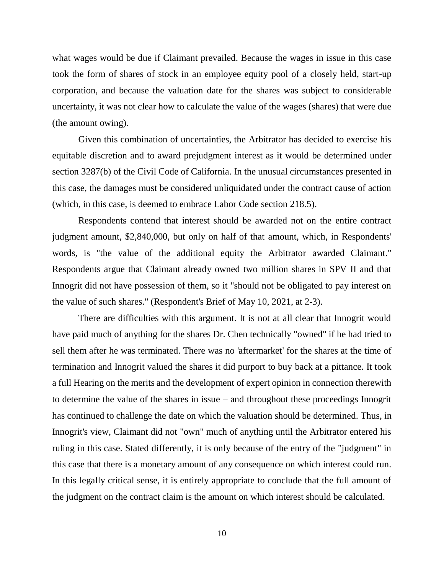what wages would be due if Claimant prevailed. Because the wages in issue in this case took the form of shares of stock in an employee equity pool of a closely held, start-up corporation, and because the valuation date for the shares was subject to considerable uncertainty, it was not clear how to calculate the value of the wages (shares) that were due (the amount owing).

Given this combination of uncertainties, the Arbitrator has decided to exercise his equitable discretion and to award prejudgment interest as it would be determined under section 3287(b) of the Civil Code of California. In the unusual circumstances presented in this case, the damages must be considered unliquidated under the contract cause of action (which, in this case, is deemed to embrace Labor Code section 218.5).

Respondents contend that interest should be awarded not on the entire contract judgment amount, \$2,840,000, but only on half of that amount, which, in Respondents' words, is "the value of the additional equity the Arbitrator awarded Claimant." Respondents argue that Claimant already owned two million shares in SPV II and that Innogrit did not have possession of them, so it "should not be obligated to pay interest on the value of such shares." (Respondent's Brief of May 10, 2021, at 2-3).

There are difficulties with this argument. It is not at all clear that Innogrit would have paid much of anything for the shares Dr. Chen technically "owned" if he had tried to sell them after he was terminated. There was no 'aftermarket' for the shares at the time of termination and Innogrit valued the shares it did purport to buy back at a pittance. It took a full Hearing on the merits and the development of expert opinion in connection therewith to determine the value of the shares in issue – and throughout these proceedings Innogrit has continued to challenge the date on which the valuation should be determined. Thus, in Innogrit's view, Claimant did not "own" much of anything until the Arbitrator entered his ruling in this case. Stated differently, it is only because of the entry of the "judgment" in this case that there is a monetary amount of any consequence on which interest could run. In this legally critical sense, it is entirely appropriate to conclude that the full amount of the judgment on the contract claim is the amount on which interest should be calculated.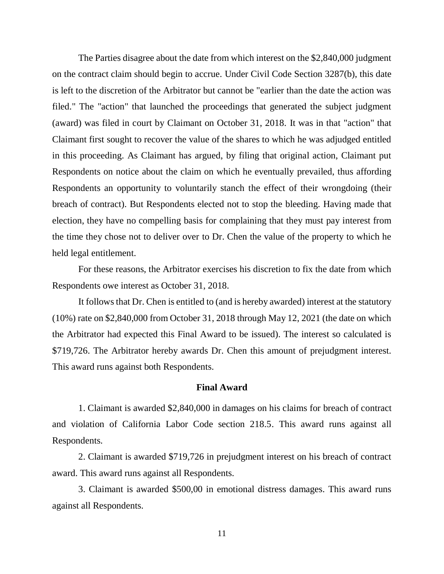The Parties disagree about the date from which interest on the \$2,840,000 judgment on the contract claim should begin to accrue. Under Civil Code Section 3287(b), this date is left to the discretion of the Arbitrator but cannot be "earlier than the date the action was filed." The "action" that launched the proceedings that generated the subject judgment (award) was filed in court by Claimant on October 31, 2018. It was in that "action" that Claimant first sought to recover the value of the shares to which he was adjudged entitled in this proceeding. As Claimant has argued, by filing that original action, Claimant put Respondents on notice about the claim on which he eventually prevailed, thus affording Respondents an opportunity to voluntarily stanch the effect of their wrongdoing (their breach of contract). But Respondents elected not to stop the bleeding. Having made that election, they have no compelling basis for complaining that they must pay interest from the time they chose not to deliver over to Dr. Chen the value of the property to which he held legal entitlement.

For these reasons, the Arbitrator exercises his discretion to fix the date from which Respondents owe interest as October 31, 2018.

It follows that Dr. Chen is entitled to (and is hereby awarded) interest at the statutory (10%) rate on \$2,840,000 from October 31, 2018 through May 12, 2021 (the date on which the Arbitrator had expected this Final Award to be issued). The interest so calculated is \$719,726. The Arbitrator hereby awards Dr. Chen this amount of prejudgment interest. This award runs against both Respondents.

# **Final Award**

1. Claimant is awarded \$2,840,000 in damages on his claims for breach of contract and violation of California Labor Code section 218.5. This award runs against all Respondents.

2. Claimant is awarded \$719,726 in prejudgment interest on his breach of contract award. This award runs against all Respondents.

3. Claimant is awarded \$500,00 in emotional distress damages. This award runs against all Respondents.

11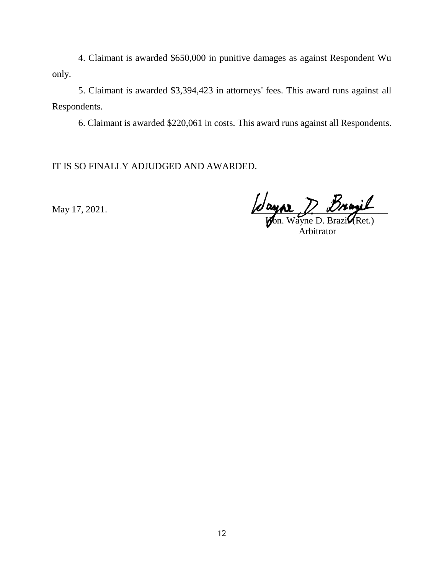4. Claimant is awarded \$650,000 in punitive damages as against Respondent Wu only.

5. Claimant is awarded \$3,394,423 in attorneys' fees. This award runs against all Respondents.

6. Claimant is awarded \$220,061 in costs. This award runs against all Respondents.

IT IS SO FINALLY ADJUDGED AND AWARDED.

May 17, 2021.  $\omega$  and  $\omega$  and  $\omega$  and  $\omega$ 

**Hon.** Wayne D. Brazi $\mathcal{U}(\text{Ret.})$ **Arbitrator**